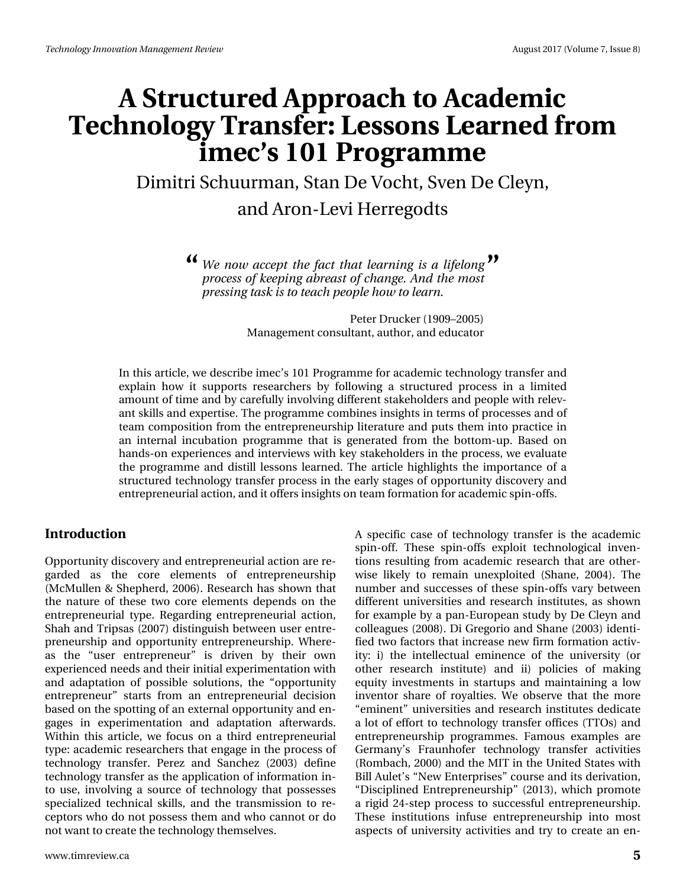# **A Structured Approach to Academic Technology Transfer: Lessons Learned from imec's 101 Programme**

Dimitri Schuurman, Stan De Vocht, Sven De Cleyn, and Aron-Levi Herregodts

> *We now accept the fact that learning is a lifelong* **" "***process of keeping abreast of change. And the most pressing task is to teach people how to learn.*

> > Peter Drucker (1909–2005) Management consultant, author, and educator

In this article, we describe imec's 101 Programme for academic technology transfer and explain how it supports researchers by following a structured process in a limited amount of time and by carefully involving different stakeholders and people with relevant skills and expertise. The programme combines insights in terms of processes and of team composition from the entrepreneurship literature and puts them into practice in an internal incubation programme that is generated from the bottom-up. Based on hands-on experiences and interviews with key stakeholders in the process, we evaluate the programme and distill lessons learned. The article highlights the importance of a structured technology transfer process in the early stages of opportunity discovery and entrepreneurial action, and it offers insights on team formation for academic spin-offs.

#### **Introduction**

Opportunity discovery and entrepreneurial action are regarded as the core elements of entrepreneurship (McMullen & Shepherd, 2006). Research has shown that the nature of these two core elements depends on the entrepreneurial type. Regarding entrepreneurial action, Shah and Tripsas (2007) distinguish between user entrepreneurship and opportunity entrepreneurship. Whereas the "user entrepreneur" is driven by their own experienced needs and their initial experimentation with and adaptation of possible solutions, the "opportunity entrepreneur" starts from an entrepreneurial decision based on the spotting of an external opportunity and engages in experimentation and adaptation afterwards. Within this article, we focus on a third entrepreneurial type: academic researchers that engage in the process of technology transfer. Perez and Sanchez (2003) define technology transfer as the application of information into use, involving a source of technology that possesses specialized technical skills, and the transmission to receptors who do not possess them and who cannot or do not want to create the technology themselves.

spin-off. These spin-offs exploit technological inventions resulting from academic research that are otherwise likely to remain unexploited (Shane, 2004). The number and successes of these spin-offs vary between different universities and research institutes, as shown for example by a pan-European study by De Cleyn and colleagues (2008). Di Gregorio and Shane (2003) identified two factors that increase new firm formation activity: i) the intellectual eminence of the university (or other research institute) and ii) policies of making equity investments in startups and maintaining a low inventor share of royalties. We observe that the more "eminent" universities and research institutes dedicate a lot of effort to technology transfer offices (TTOs) and entrepreneurship programmes. Famous examples are Germany's Fraunhofer technology transfer activities (Rombach, 2000) and the MIT in the United States with Bill Aulet's "New Enterprises" course and its derivation, "Disciplined Entrepreneurship" (2013), which promote a rigid 24-step process to successful entrepreneurship. These institutions infuse entrepreneurship into most aspects of university activities and try to create an en-

A specific case of technology transfer is the academic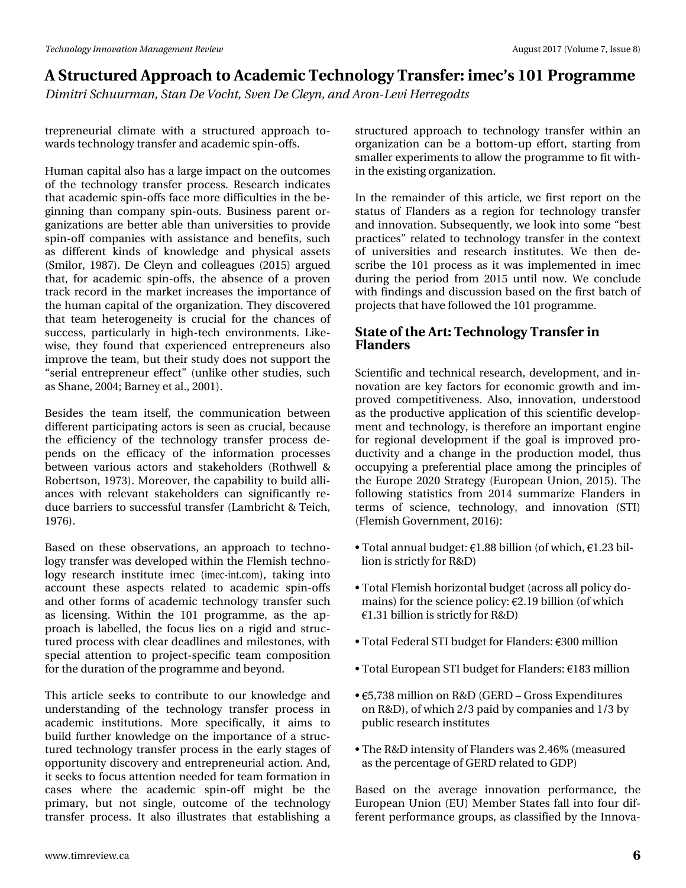# D#./wuxfwxuhq#Dssurdfk#wr#Dfdqhplf#Whfkqrorj|#Wudqvihu=#phf\*v#l34#Surjudpph Glp Iwd# fkxxupdq/#Wdq#Gh#Yrfkw#Whq#Gh#Fohlq/#dqq#Durq0Chyl#Khuuhjrqwy

whsuhqhxuldo#folpdwh#zlwk#d#vwuxfwxuhg#dssurdfk#wr0 z dugv#mfkgrorj|#wdgvihu#dgg#dfdghplf#vslg0riiv1#

K x p dq# ds l voldeblovr#k dv#d#odujh # p s df w#q#wk h # x wf r p h v# ri#wkh#whfkqrorj | #wudqvihu#surfhvv#Uhvhdufk#lqglfdwhv# wk.dw#dfdghplf#vslq0riiv#ldfh#pruh#gliilfxowlhv#lq#wk.h#eh0 jlgglgj#wk.dg#frpsdg|#vslg0rxwr#Exvlghvv#sduhgw#ru0 jdql}dwr gy#duh#ehwhu#dech#wkdq#xqlyhuvlwhy#wr#surylgh# vslq0rii#frpsdqlhv#zlwk#dwlwdqfh#dqg#ehqhilw/#vxfk# dv#gliihuhqw#nlqgv#ri#nqrz dngjh#dqg#sk|vlfdd#dvvhw# +Vp lor u/#4<;:, #Gh#Foh| q#dqg#froohdjxhv#+5348,#dujxhg# wk dw#ir u#df dghp If #vsIq0riiv/#wkh#devhqfh#ri#d#suryhq# wudfn#uhfrug#lq#wkh#pdunhw#lqfuhdvhv#wkh#lpsruwdqfh#ri# wk h#k x pdq#fdslwdo#i#wk h#rujdql}dwlrq1#Wk h|#glvfryhuhg# wk dw#whdp#khwhur jhqhlw|#lv#fuxfldd#iru#wkh#fkdqfhv#ri# vxffhw/#sduwfxoduq#lq#kljk0whfk#hqylurqphqwr#Olnh0 z lvh/#wkh| #ir xqg#wkdw#h{shulhqf hg#hqwuhsuhqhxuv#dovr # Ip suryh#wkh#whdp/#exw#wkhlu#wxg|#grhv#qrw#xxssruw#wkh# (vhuldo#hqwuhsuhqhxu#hiihfwT#+xqdnh#rwkhu#wxqlhv/#vxfk# dv#/kdqh/#5337>#Eduqh| #hw#dol/#5334, #

Ehvighv#wkh#whdp #lwvhoi/#wkh#frppxqlfdwlrq#ehwzhhq# gliihuhqwisduw'ilsdwiqj#dfwruw#v#vhhq#dv#tuxfldo/#ehfdxvh#  $\mathsf{w}$ k h#hiilflhqf|#ri# $\mathsf{w}$ k h# $\mathsf{w}$ hfkqrorj|#wudqvihu#surfh $\mathsf{w}$ #gh0 shqqv#rq#vkh#hiilfdf|#ri#vkh#lqirupdwrq#surfhvvhv# ehvz hhq#ydulr xv#df wr w#dqg#vvdnhkr oghw#+Ur vkz hoo#) # Urehuw rq/#4<: 6, #P ruhryhu/#wkh#fdsdeldw|#wr#exlog#dool0 dqfhv#zlwk#uhohydqw#wodnhkroghuv#fdq#vljqlilfdqwo|#uh0 gxfh#eduulhuv#wr#vxffhvvixc#wdqvihu#Odpeulfkw#)#Nhlfk/#  $4 < : 9.44$ 

Edvhg#r q#wk hvh#r evhuydwlr qv/#dq#dssur df k#wr#whf kqr 0 orj | #wodqvihu#z dv#ghyhorshg#z lwklq#wkh#lohp lvk#whfkqr0 or j | #uhvhduf k#lqvvlwxwh#lp hf #+lp hf0lqwfrp, /#wdnlqj #lqwr # dffrxqw#wkhvh#dvshfw#uhodwhg#wr#dfdghplf#vslq0riiv# dqg#rwkhu#irupv#ri#dfdghplf#whfkqrorj|#wudqvihu#vxfk# dv#dfhqvlqj1#Zlwklq#wkh#434#surjudpph/#dv#wkh#ds0 sur dfk#lv#odehoohg/#wkh#irfxv#olhv#rq#d#uljlg#dqg#vwuxf0 wsuhg#surfhw#zlwk#dndu#ghdgdqhv#dqg#pldnwwqhv/#zlwk# vshfldd#dwhqwlrq#wr#surnhfw0vshflilf#whdp#frpsrvlwlrq# iru#wk.h#gxudwlrq#ri#wk.h#surjudpph#dqg#eh|rqg1

Wilv#duwf oh#vhhnv#wr#frqwdexwh#wr#rxu#nqrzohgjh#dqg# xqghuwdqglqj#ri#wkh#whfkqrorj|#wudqvihu#surfhvv#lq# df dghp If#Iqwlwxwlrqv#Pruh#vshflilfdool/#Iw#dlpv#wr# exlog#ixuwk.hu#nqrzohgjh#rq#wk.h#lpsruwdqfh#ri#d#wwxf0 wsuhg#whfkqrorj|#wudqvihu#surfhvv#q#wkh#hduq#wdjhv#ri# rssruw:qlw|#glvfryhu|#dqg#hqwuhsuhqhxuldo#dfwlrq1#Dqg/# lwwth hnv#wr#rfxv#dwwhqwtrq#qhhghg#ru#whdp#rupdwtrq#q# f dvhv#z khuh# wkh# df dghp If # vsIq0rii# p Ij kw# eh# wkh# sulpdul/#exw#qrw#vlqjdn/#rxwfrph#ri#wkh#whfkqrorj|# wodg vihu#s ur f hvv#Lu#dovr #loox vw.dvhv#vkdv#hvvded vklgj#d#

ww. fw. uhg#dssurdfk#wr#whfkgrorj|#wudqvihu#zlwklq#dq# rujdgl}dwtrg#fdg#eh#d#erwwrp0xs#hiiruw#woduwlgj#jurp# vp dochu#h{shulp hqww#wr#doorz#nkh#surjudpp h#wr#llwozllwk0 lg#kh#n{lvwlgi#ujdgl}dwrg1

Lq#wkh#uhpdlqghu#ri#wklv#duwlfdn/#zh#lluw#uhsruw#rq#wkh# wodwsv#ri#lodgghw#dv#d#uhjIrg#iru#whfkgrorj|#wudgvihu# dqg#qqrydwlrq14Vxevhtxhqwol/#zh#orrn#qwr#vrph#ehw# sudf wif hv<sup>T</sup>靴hodwhg#wr#whfkqrorj | #wudqvihu#lq#wkh#frqwh{w# ri#xqlyhuvlwhv#dqg#uhvhdufk#lqvwwxwhv#Zh#wkhq#gh0 vf uleh#wkh#434#sur f hvv#dv#lw#z dv#lp sohp hqwhg#lq#lp hf# gxulgi#wkh#shulrg#iurp#5348#xqwlo#qrz#EZh#frqfoxgh# z lwk#lqglqjv#dqg#glvfxwlrq#edvhg#q#wkh#luw#edwfk#i# sur rhf w#kkdwkkdyh#roor z hg#kkh#134#sur judp p h1

#### Wodwh#i#wkh#Duw#Whfkqrorj | #Wudqvihu#q#  $1$   $dq$ ghuv#

Vf I hqwilf#dqg#whf kqlfdd#uhvhduf k/#ghyhorsp hqw#dqg#q0 qrydw'r q#duh#nh|#idfwruv#iru#hfrqrplf#jurzwk#dqg#lp0 sur yhg#frp shwwyhqhw#Dovr/#lqqrydwrq/#xqghuwrrg# dv#wk h#surgxfwlyh#dssolfdwlrq#ri#wklv#vflhqwlif#ghyhors0 phqwkdqg#whfkqrorj|/#v#wkhuhiruh#dq#psruwdqw#hqjlqh# iru#uhjIrqdo#ghyhorsphqw#li#wkh#jrdo#lv#lpsuryhg#sur0 gxfwlylw|#dqg#d#fkdqjh#lq#wkh#surgxfwlrq#prgho/#wkxv# rffxs|lqj#d#suhihuhqwldd#sodfh#dprqj#wkh#sulqflsohv#ri# wkh#Hxursh#5353#A/wudwhj | #HHxurshdq#Xqlrq/#5348,1#A/kh# ir oor z lqj #vwdwlw w #iurp #5347#vxp p dul}h #l odqghuv #lq# whup  $v\#$ ri# vflhqfh/# whfkqroril/#dqg#lqqrydwlrq# + WL#  $+$  dnp lvk# r yhugp hqw#5349,=

- –#Wrwdo#dqqxdo#exgjhw#41;;#eloolrq#-ri#zklfk/#4156#elo0 olrq#∨#∨wulfwo|#ru#U) G,
- —#Wrvdc#idnplvk#krul}rqvdc#exgjhw#dfurvv#doc#srolf|#gr0 p dlqv,#ru#wkh#vflhqfh#srolf| # 514<#eloolrq#-ri#z klfk# 4164#elootrq#lv#wulfwo|#ru#U)G,
- —#Wrwdo#hghudo#WL#exgjhw#ru#odqghuv=#633#plootrq
- # Wrvdo# bk urshdq# WL#exgjhw#ru# odqghuv =# 4;6#plootrq
- -#8/:6;#plootrq#q#U) G#-UHUG##Jurvv#H{shqglwxuhv# rq#U) G,/#i#z klfk#526#sdlg#e|#frpsdqlhv#dqg#426#e|# sxedf#bvhdufk#qvwwxwhv
- -#/\kh#U) G#qvhqvlv|r#i#iodqghuv#zdv#5179(#+phdvxuhg# dv#kh#shufhqvdjh#i#JHUG#hodvhg#w#JGS,

Edvhg#rq#wkh#dyhudjh#lqqrydwlrq#shuirupdqfh/#wkh# Hxurshdq#Xqlrq#HX,#Phpehu#A/odvhv#idoo#qwr#irxu#gli0 ihuhqw#shuirup dqfh#urxsv/#dv#fodvvlilhg#e|#wkh#Lqqryd0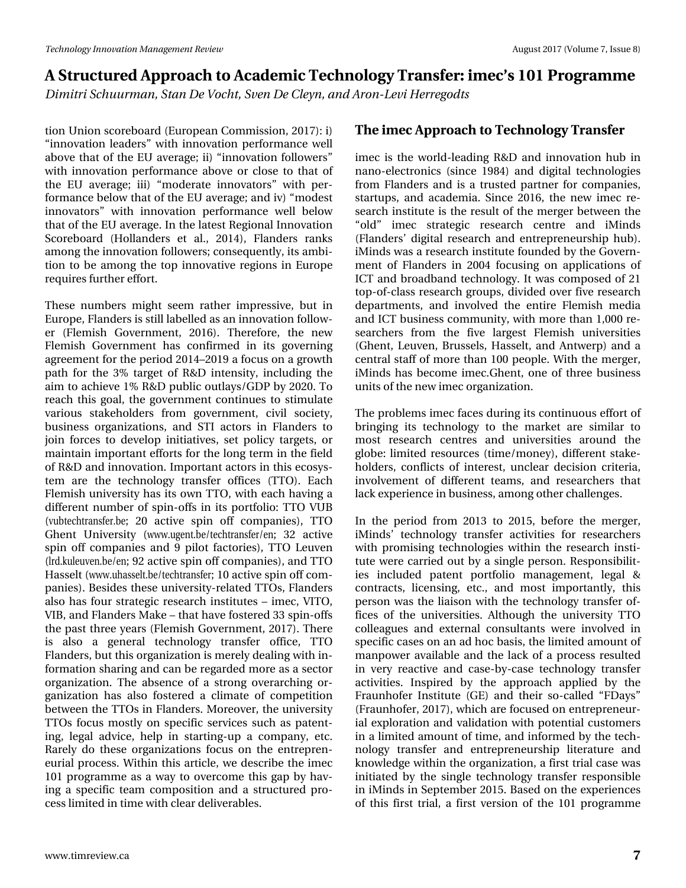# D# /wux f wx uhg#Dssur df k #wr#Dfdghp If# /Vhfk qr or j | # /Vudqvihu=#p hf\* v# 34 #Sur judp p h Glp Iwd# fkxxupdq/#Wdq#Gh#Yrfkw#Whq#Gh#Fohlq/#dqq#Durq0Chyl#Khuuhjrqwy

whrq#Xqlrq#vfruherdug#Hokurshdq#Frpplwlrq/#534:,#1,# (lggrydw'r g#dndghw<sup>T</sup> 牲 lwk#lggrydw'r g#shuir up dgfh #z hoo# der yh#wk dw#i#wk h#HX #dyhudjh #ll, #lqqr ydwlr q#lroor z huv<sup>T#</sup> z lwk#lqqrydwlrq#shuirup dqfh#deryh#ru#foryh#wr#wkdw#ri# wkh#HX#dyhudjh:#III,#(prghudwh#IqqrydwruvT#zlwk#shu0 ir up dqf h#ehor z #wk dw#ri#wk h#HX #dyhudjh >#dqg#ly,#prghw# lggr ydw w<sup>T#</sup>z lwk#lggr ydw'r g#shuir up dgf h#z hoo#ehor z # wkdw#i#wkh#HX#dyhudih1#Lg#wkh#odwhww#JhjIrqdo#Lqqrydwlrq# Vfr uher dug#+Kr and ghuv#hw#dol/#5347,/#l adqghuv#udqnv# dprqj#wkh#qqrydwlrq#roorzhuv:#frqvhtxhqwo|/#ww#dpel0 wtrq#wr#eh#dprqj#wkh#wrs#lqqrydwlyh#uhjlrqv#lq#Hxursh# uht xluhv#xuwkhu#hiiruw#

Wikhvh#qxp ehuv#p lj kw#vhhp #udwkhu#lp suhvvlyh/#exw#lq# Hx ur sh/# odgghuv#v#wloo#dehoohg#dv#dg#ggrydwlrg#roorz0 hu#+ dnp lvk#Jryhuqp hqw/#5349, #Wkhuhiruh/#wkh#qhz# I dop lvk#J r yhuqp hqw#kdv#f r qilup hg#lq#lw#j r yhuqlqj # dj uhhp hqw#ru#wkh#shulrg#5347'534<#d#rfxv#q#d#jurzwk# sdwk#iru#wkh#6(#wdujhw#ri#U)G#lqwhqvlw|/#lqfoxglqj#wkh# dlp #ww #df klhyh#4(#U) G#sxedf#xwod|v2J GS#e|#53531#W # uhdfk#wklv#jrdo/#wkh#jryhuqphqw#frqwlqxhv#wr#wlpxodwh# ydu'r x v# wdnhkr oghw#iur p #j r yhuqp hqw#flylo# vr flhw|/# exvlqhw#r y dql}dwr qv/#dqg#WVL#df wr w#lq#l odqghw#wr # mlq#irufhv#wr#ghyhors#lqlwkdwlyhv/#vhw#srolf|#wdujhwv/#ru# pdlqwdlq#psruwdqw#niiruww#ru#wkh#orqj#whup#q#wkh#lhog# ri#U) G#dqg#lqqrydwlrq1#Lpsruwdqw#dfwruv#lq#wkllv#hfrv|v0 whp #duh#wkh#whfkqrorj|#wudqvihu#riilfhv#+WWR,1#Hdfk# I dnp lvk#xqlyhuvlw|#kdv#tw#r z q#VWR/#z lwk#hdfk#kdylqj#d# gliihuhqw#qxpehu#ri#vslq0riiv#lq#lw#sruwirdr=#NWR#YXE# +yxewhfkw.dqvihu1eh:#53#dfwlyh#vslq#rii#frpsdqlhv,/#WWR# J k hqw#X qlyhuvlw|#+z z z 1xj hqwteh2whf kwudqvihu2hq:#65#df wlyh# vslq#rii#frpsdqlhv#dqg#<#slorw#dfwrulhv,/#NWR#Chxyhq# +ag1nxohxyhq1eh2hq:#k5#dfwlyh#vslq#ii#frpsdqlhv,/#dqg#WWR# Kdvvhowi#zzz1kkdvvhow1eh2whfkwudqvihud#13#dfwlyh#vslq#ii#frp0 sdqlhv, #Ehvighv#wkhvh#xqlyhuviwj0uhodwhg#WWRv/#odqghuv# dovr#kdv#irxu#wudwhjlf#uhvhdufk#qwww.whv##phf/#YLWR/# YLE/#dqg# odqghuv#P dnh# #wkdw#kdyh#rw huhg#66#vslq0riiv# wk h#s dw#wk uhh# hduv#H ohp lvk#Jryhuqp hqw#534:, #A/k huh# lv# dovr # d# j hq hudo# whf k q r or j | # wudq vihu# r iilf h/# WWR# I odqghuv/#exw#wklv# yjdql}dwlrq#v#phuho|#ghdolqj#zlwk#q0

irup dwir q#wkdulqj#dqg#fdq#eh#uhjdughg#pruh#dv#d#whfwru# r ujdql}dwir q1# Wkh#devhqfh#ri#d# wur qj#ryhudufklqj#ru0 j dql}dw'r q#k dv#dovr#ir whu hg#d#f olp dwh#ri#frp shwlwlr q# ehwz hhq#wkh#WWRv#q# odqghuv#Pruhryhu/#wkh#xqlyhuvlw|# WWRv#irfxv#prwoo|#rq#vshflilf#vhuylfhv#vxfk#dv#sdwhqw0 lqj/#dnjdd#dgylfh/#khos#lq#wduwlqj0xs#d#frpsdq|/#hwf# Uduhoj #gr #wkhvh#r uj dql}dwir qv#irfxv#r q#wkh#hqwuhsuhq0 hxuldo#surfhw1#Zlwklq#wklv#duwlfdn/#zh#ghvfuleh#wkh#lphf# 434#surjudpp h#dv#d#zd|#wr#ryhufrph#wklv#jds#e|#kdy0 lqj#d#vshflilf#whdp#frpsrvlwlrq#dqg#d#vwuxfwxuhg#sur0 f hw#bp lwhg#q#Wp h# lwk# dndu#ghdyhudednv1

#### Wikh#phf#Dssurdfk#wr#Whfkqrorj|#Wudqvihu

Ip hf #lv#wkh#z ruog0ohdglqj#U) G#dqg#lqqrydwlrq#kxe#lq# qdqr Ohohf wur qlf v#+vlqf h#4<; 7,#dqg#glj lwdo#whf kqr or j lhv# iurp #1 odqghuv#dqg#lv#d#wuxwhg#sduwqhu#iru#frpsdqlhv/# woduwssv/#dqg#dfdghpld1#Mqfh#5349/#wkh#qhz#lphf#uh0 vhduf k#qwwxwh#v#wkh#uhvxow#i#wkh#phujhu#ehwzhhq#wkh#  $\langle$ r og  $\tau$  # Ip hf # wudwhj If # uhvhduf k # f hq wuh # dq g # IP lq g v # +l odqghuv\*#gljlvdd#uhvhdufk#dqg#hqwuhsuhqhxuvkls#kxe,1# IP lqgv#z dv#d#uhvhduf k#qvwlwxwh#rxqghg#e|#wkh#Jryhuq0 p hqw#ri#l odqghw#lq#5337#irfxvlqj#rq#dssdfdwtrqv#ri# LFW#dqg#eurdgedqg#whfkqrorj|1#Lw#zdv#frpsrvhg#ri#54# w s0ri0f odvv#uhvhduf k# urxsv/#glylghg#ryhu#lyh#uhvhduf k# ghsdump hqw/#dqg#lqyroyhg#wkh#hqwluh#lohplvk#phgld# dqg#LFW#exvlqhvv#frppxqlw|/#zlwk#pruh#wkdq#4/333#uh0 vhduf khuv#iur p #wkh#ilyh#odujhvw#l ohp lvk#xqlyhuvlwhv# +J k hqw#Ohx y hq/#Eux whov/#K dwhow#dqg#Dqwz hus,#dqg#d# f hqw.dd#wdii#i#p ruh#wkdq#433#shrsdn1#Zlwk#wkh#p hujhu/# IP Iggv#kdv#ehfrph#phf1Jkhqw#rqh#ri#wkuhh#exvlghvv# xqlw#i#kh#qhz#phf#yjdql}dwrq#

Wikh #surednp v#p hf#dfhv#gxulqj#ww#rqwlqxrxv#hiiruw#i# eulqjlqj#lw#whfkqrorj|#wr#wkh#pdunhw#duh#vlplodu#wr# prw# uhvhdufk#fhqwuhv#dqg#xqlyhuvlwhv#durxqg#wkh# joreh=#olplwhg#uhvrxufhv#+wlph2prqh|,/#gliihuhqw#wodnh0 kroghuv/#frqidfw#ri#lqwhuhw#xqfdhdu#ghflvlrq#fulwhuld/# lqyr gyhp hqw#r i#gliihuhqw#whdp v/#dqg#uhvhduf khuv#wkdw# odfn#n{shulhqfh#q#exvlqhvv/#dprqj#wkhu#kdoohqjhv1#

Lg#wkh#shulrg#iurp#5346#wr#5348/#ehiruh#wkh#phujhu/# IP Iqgv\*#whf kqrorj | #wudqvihu#df wlylwhv#iru#uhvhduf khuv# z lwk#surp lvlqj#whfkqrorjlhv#z lwklq#wkh#uhvhdufk#lqvwl0 wxwh#z huh#duulhg#xw#e|#d#vlqjdn#shuvrq#Uhvsrqvleldw0  $I$ hv#lqf  $\alpha$ ghg#sdwhqw#sr ww'r dr#p dqdj hp hqw#dnj dd#) # frqw.dfw/#dfhqvlqj/#hwf1/#dqg#prw#lpsruwdqwoj/#wklv# shuvrq#z dv#wkh#bldlvrq#z lwk#wkh#whfkqrorj|#wudqvihu#ri0 ilf hv#r i#wkh#xqlyhuvlwhv#Dowkrxjk#wkh#xqlyhuvlwl#WWR# frochdj xhv#dqg#h{whuqdo#frqvxowdqw#zhuh#lqyroyhg#lq# vshflilf#fdvhv#q#dq#dg#krf#edvlv/#wkh#olplwhg#dprxqw#ri# p dgsr z hu#dydlode oh#dgg#wkh#odfn#ri#d#surfhw#uhvxowhg# lg#yhu #uhdf wyh#dgg#f dvh0e| 0f dvh#whf kgr or i | #wudgvihu# dfwylwhv#Lqvsluhg#e|#wkh#dssurdfk#dssdhg#e|#wkh# I udxqkrihu#Lqvwlwxwh#+JH,#dqg#wkhlu#vr0fdoohg# IGd|v<sup>T#</sup># + udxqkrihu/#534: ,/#z klfk#duh#rfxvhg#q#hqwuhsuhqhxu0 ldoth{sorudwtrq#dqg#ydolgdwtrq#zlwk#srwhqwldotfxwnrphuv# lq#d#bplwhg#dprxqw#ri#wlph/#dqg#qiruphg#el#wkh#whfk0  $qr \sigma j$  | # wodq vihu # dqg # hqw hs uhq hx u vk ls # d whud ws uh # dqg # ngr z ohgi h#z lwklq#wkh# uj dql}dwir q/#d#luww#wuldo#dvh#z dv# lqlwdwng#e|#wkh#vlqjdn#whfkqrorj|#wudqvihu#uhvsrqvledn# lq#Plqgv#q#Vhswhpehu#5348#Edvhg#q#wkh#h{shulhqfhv# ri#wklv#iluw#wuldo/#d#iluw#yhuvlrq#ri#wkh#434#surjudpph#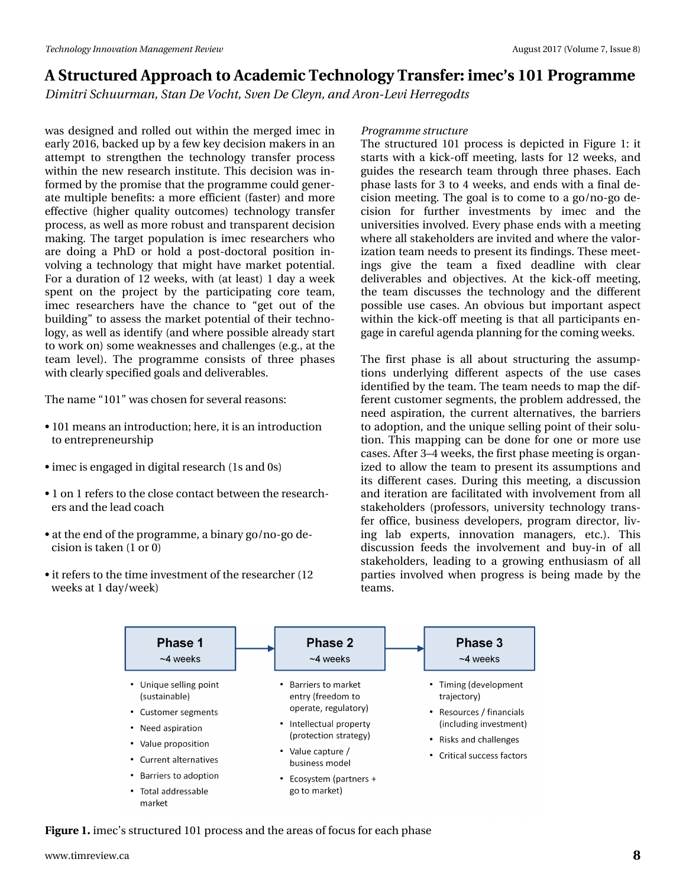*Dimitri Schuurman, Stan De Vocht, Sven De Cleyn, and Aron-Levi Herregodts*

was designed and rolled out within the merged imec in early 2016, backed up by a few key decision makers in an attempt to strengthen the technology transfer process within the new research institute. This decision was informed by the promise that the programme could generate multiple benefits: a more efficient (faster) and more effective (higher quality outcomes) technology transfer process, as well as more robust and transparent decision making. The target population is imec researchers who are doing a PhD or hold a post-doctoral position involving a technology that might have market potential. For a duration of 12 weeks, with (at least) 1 day a week spent on the project by the participating core team, imec researchers have the chance to "get out of the building" to assess the market potential of their technology, as well as identify (and where possible already start to work on) some weaknesses and challenges (e.g., at the team level). The programme consists of three phases with clearly specified goals and deliverables.

The name "101" was chosen for several reasons:

- 101 means an introduction; here, it is an introduction to entrepreneurship
- imec is engaged in digital research (1s and 0s)
- 1 on 1 refers to the close contact between the researchers and the lead coach
- at the end of the programme, a binary go/no-go decision is taken (1 or 0)
- it refers to the time investment of the researcher (12 weeks at 1 day/week)

#### *Programme structure*

The structured 101 process is depicted in Figure 1: it starts with a kick-off meeting, lasts for 12 weeks, and guides the research team through three phases. Each phase lasts for 3 to 4 weeks, and ends with a final decision meeting. The goal is to come to a go/no-go decision for further investments by imec and the universities involved. Every phase ends with a meeting where all stakeholders are invited and where the valorization team needs to present its findings. These meetings give the team a fixed deadline with clear deliverables and objectives. At the kick-off meeting, the team discusses the technology and the different possible use cases. An obvious but important aspect within the kick-off meeting is that all participants engage in careful agenda planning for the coming weeks.

The first phase is all about structuring the assumptions underlying different aspects of the use cases identified by the team. The team needs to map the different customer segments, the problem addressed, the need aspiration, the current alternatives, the barriers to adoption, and the unique selling point of their solution. This mapping can be done for one or more use cases. After 3–4 weeks, the first phase meeting is organized to allow the team to present its assumptions and its different cases. During this meeting, a discussion and iteration are facilitated with involvement from all stakeholders (professors, university technology transfer office, business developers, program director, living lab experts, innovation managers, etc.). This discussion feeds the involvement and buy-in of all stakeholders, leading to a growing enthusiasm of all parties involved when progress is being made by the teams.



**Figure 1.** imec's structured 101 process and the areas of focus for each phase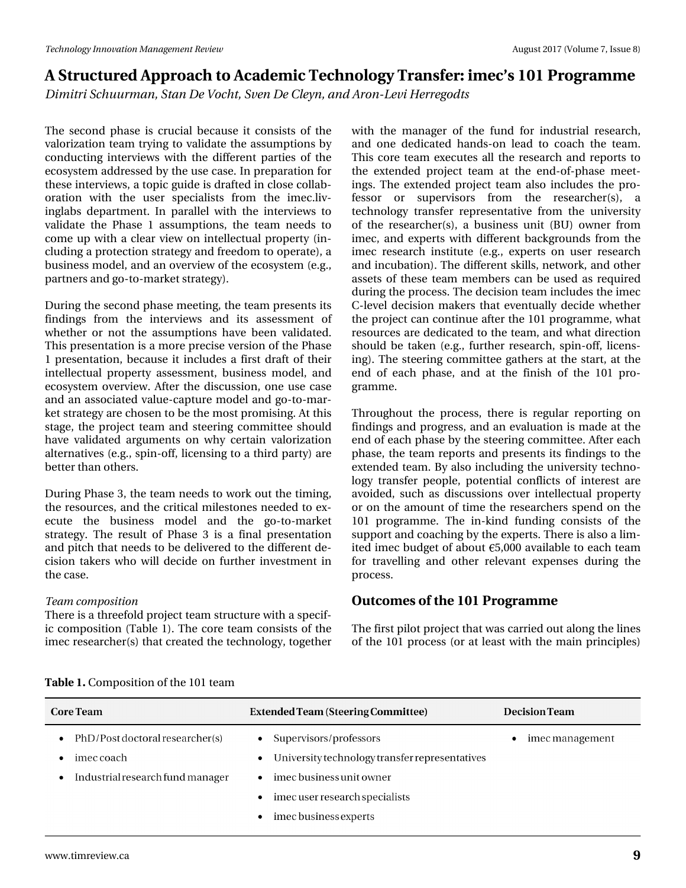*Dimitri Schuurman, Stan De Vocht, Sven De Cleyn, and Aron-Levi Herregodts*

The second phase is crucial because it consists of the valorization team trying to validate the assumptions by conducting interviews with the different parties of the ecosystem addressed by the use case. In preparation for these interviews, a topic guide is drafted in close collaboration with the user specialists from the imec.livinglabs department. In parallel with the interviews to validate the Phase 1 assumptions, the team needs to come up with a clear view on intellectual property (including a protection strategy and freedom to operate), a business model, and an overview of the ecosystem (e.g., partners and go-to-market strategy).

During the second phase meeting, the team presents its findings from the interviews and its assessment of whether or not the assumptions have been validated. This presentation is a more precise version of the Phase 1 presentation, because it includes a first draft of their intellectual property assessment, business model, and ecosystem overview. After the discussion, one use case and an associated value-capture model and go-to-market strategy are chosen to be the most promising. At this stage, the project team and steering committee should have validated arguments on why certain valorization alternatives (e.g., spin-off, licensing to a third party) are better than others.

During Phase 3, the team needs to work out the timing, the resources, and the critical milestones needed to execute the business model and the go-to-market strategy. The result of Phase 3 is a final presentation and pitch that needs to be delivered to the different decision takers who will decide on further investment in the case.

#### *Team composition*

There is a threefold project team structure with a specific composition (Table 1). The core team consists of the imec researcher(s) that created the technology, together with the manager of the fund for industrial research, and one dedicated hands-on lead to coach the team. This core team executes all the research and reports to the extended project team at the end-of-phase meetings. The extended project team also includes the professor or supervisors from the researcher(s), a technology transfer representative from the university of the researcher(s), a business unit (BU) owner from imec, and experts with different backgrounds from the imec research institute (e.g., experts on user research and incubation). The different skills, network, and other assets of these team members can be used as required during the process. The decision team includes the imec C-level decision makers that eventually decide whether the project can continue after the 101 programme, what resources are dedicated to the team, and what direction should be taken (e.g., further research, spin-off, licensing). The steering committee gathers at the start, at the end of each phase, and at the finish of the 101 programme.

Throughout the process, there is regular reporting on findings and progress, and an evaluation is made at the end of each phase by the steering committee. After each phase, the team reports and presents its findings to the extended team. By also including the university technology transfer people, potential conflicts of interest are avoided, such as discussions over intellectual property or on the amount of time the researchers spend on the 101 programme. The in-kind funding consists of the support and coaching by the experts. There is also a limited imec budget of about  $65,000$  available to each team for travelling and other relevant expenses during the process.

#### **Outcomes of the 101 Programme**

The first pilot project that was carried out along the lines of the 101 process (or at least with the main principles)

| Table 1. Composition of the 101 team |  |
|--------------------------------------|--|
|                                      |  |

| <b>Core Team</b>                                           | <b>Extended Team (Steering Committee)</b>                                             | <b>Decision Team</b> |
|------------------------------------------------------------|---------------------------------------------------------------------------------------|----------------------|
| PhD/Post doctoral researcher(s)<br>$\bullet$<br>imec coach | Supervisors/professors<br>University technology transfer representatives<br>$\bullet$ | imec management      |
| Industrial research fund manager<br>$\bullet$              | imec business unit owner<br>$\bullet$                                                 |                      |
|                                                            | imec user research specialists<br>$\bullet$<br>imec business experts<br>$\bullet$     |                      |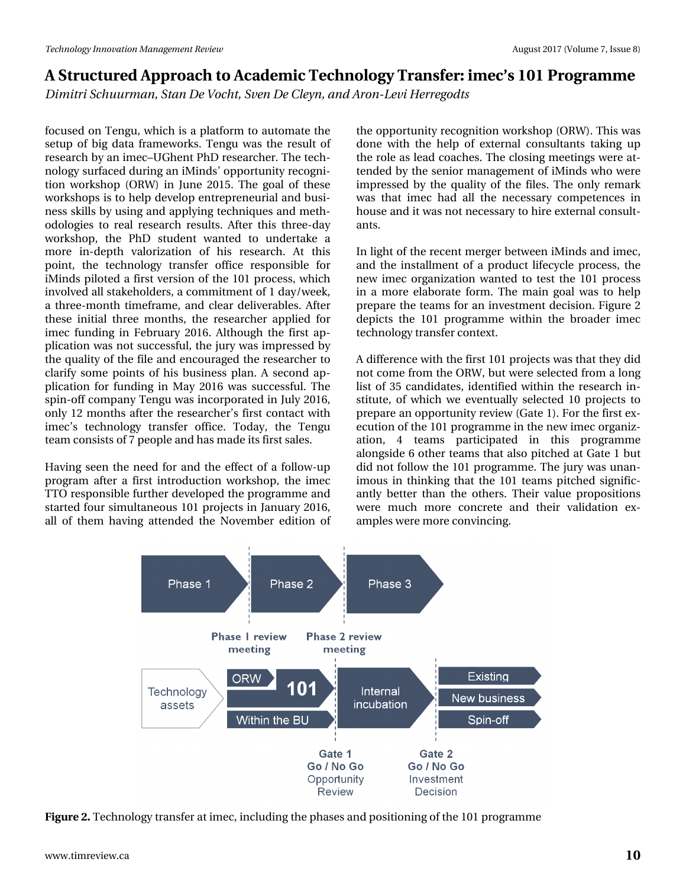*Dimitri Schuurman, Stan De Vocht, Sven De Cleyn, and Aron-Levi Herregodts*

focused on Tengu, which is a platform to automate the setup of big data frameworks. Tengu was the result of research by an imec–UGhent PhD researcher. The technology surfaced during an iMinds' opportunity recognition workshop (ORW) in June 2015. The goal of these workshops is to help develop entrepreneurial and business skills by using and applying techniques and methodologies to real research results. After this three-day workshop, the PhD student wanted to undertake a more in-depth valorization of his research. At this point, the technology transfer office responsible for iMinds piloted a first version of the 101 process, which involved all stakeholders, a commitment of 1 day/week, a three-month timeframe, and clear deliverables. After these initial three months, the researcher applied for imec funding in February 2016. Although the first application was not successful, the jury was impressed by the quality of the file and encouraged the researcher to clarify some points of his business plan. A second application for funding in May 2016 was successful. The spin-off company Tengu was incorporated in July 2016, only 12 months after the researcher's first contact with imec's technology transfer office. Today, the Tengu team consists of 7 people and has made its first sales.

Having seen the need for and the effect of a follow-up program after a first introduction workshop, the imec TTO responsible further developed the programme and started four simultaneous 101 projects in January 2016, all of them having attended the November edition of the opportunity recognition workshop (ORW). This was done with the help of external consultants taking up the role as lead coaches. The closing meetings were attended by the senior management of iMinds who were impressed by the quality of the files. The only remark was that imec had all the necessary competences in house and it was not necessary to hire external consultants.

In light of the recent merger between iMinds and imec, and the installment of a product lifecycle process, the new imec organization wanted to test the 101 process in a more elaborate form. The main goal was to help prepare the teams for an investment decision. Figure 2 depicts the 101 programme within the broader imec technology transfer context.

A difference with the first 101 projects was that they did not come from the ORW, but were selected from a long list of 35 candidates, identified within the research institute, of which we eventually selected 10 projects to prepare an opportunity review (Gate 1). For the first execution of the 101 programme in the new imec organization, 4 teams participated in this programme alongside 6 other teams that also pitched at Gate 1 but did not follow the 101 programme. The jury was unanimous in thinking that the 101 teams pitched significantly better than the others. Their value propositions were much more concrete and their validation examples were more convincing.



**Figure 2.** Technology transfer at imec, including the phases and positioning of the 101 programme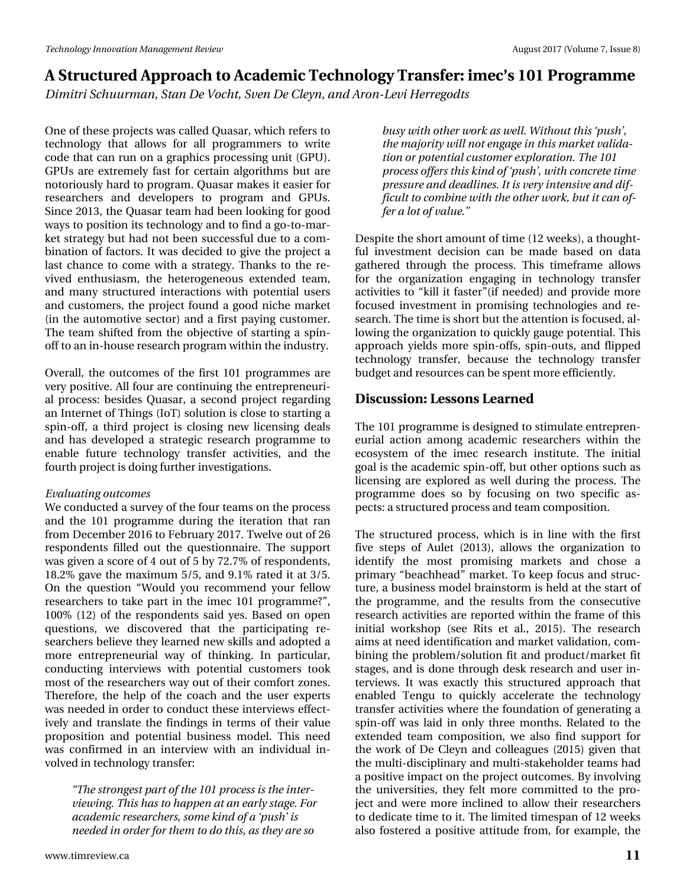*Dimitri Schuurman, Stan De Vocht, Sven De Cleyn, and Aron-Levi Herregodts*

One of these projects was called Quasar, which refers to technology that allows for all programmers to write code that can run on a graphics processing unit (GPU). GPUs are extremely fast for certain algorithms but are notoriously hard to program. Quasar makes it easier for researchers and developers to program and GPUs. Since 2013, the Quasar team had been looking for good ways to position its technology and to find a go-to-market strategy but had not been successful due to a combination of factors. It was decided to give the project a last chance to come with a strategy. Thanks to the revived enthusiasm, the heterogeneous extended team, and many structured interactions with potential users and customers, the project found a good niche market (in the automotive sector) and a first paying customer. The team shifted from the objective of starting a spinoff to an in-house research program within the industry.

Overall, the outcomes of the first 101 programmes are very positive. All four are continuing the entrepreneurial process: besides Quasar, a second project regarding an Internet of Things (IoT) solution is close to starting a spin-off, a third project is closing new licensing deals and has developed a strategic research programme to enable future technology transfer activities, and the fourth project is doing further investigations.

#### *Evaluating outcomes*

We conducted a survey of the four teams on the process and the 101 programme during the iteration that ran from December 2016 to February 2017. Twelve out of 26 respondents filled out the questionnaire. The support was given a score of 4 out of 5 by 72.7% of respondents, 18.2% gave the maximum 5/5, and 9.1% rated it at 3/5. On the question "Would you recommend your fellow researchers to take part in the imec 101 programme?", 100% (12) of the respondents said yes. Based on open questions, we discovered that the participating researchers believe they learned new skills and adopted a more entrepreneurial way of thinking. In particular, conducting interviews with potential customers took most of the researchers way out of their comfort zones. Therefore, the help of the coach and the user experts was needed in order to conduct these interviews effectively and translate the findings in terms of their value proposition and potential business model. This need was confirmed in an interview with an individual involved in technology transfer:

*"The strongest part of the 101 process is the interviewing. This has to happen at an early stage. For academic researchers, some kind of a 'push' is needed in order for them to do this, as they are so*

*busy with other work as well. Without this 'push', the majority will not engage in this market validation or potential customer exploration. The 101 process offers this kind of 'push', with concrete time pressure and deadlines. It is very intensive and difficult to combine with the other work, but it can offer a lot of value."*

Despite the short amount of time (12 weeks), a thoughtful investment decision can be made based on data gathered through the process. This timeframe allows for the organization engaging in technology transfer activities to "kill it faster"(if needed) and provide more focused investment in promising technologies and research. The time is short but the attention is focused, allowing the organization to quickly gauge potential. This approach yields more spin-offs, spin-outs, and flipped technology transfer, because the technology transfer budget and resources can be spent more efficiently.

#### **Discussion: Lessons Learned**

The 101 programme is designed to stimulate entrepreneurial action among academic researchers within the ecosystem of the imec research institute. The initial goal is the academic spin-off, but other options such as licensing are explored as well during the process. The programme does so by focusing on two specific aspects: a structured process and team composition.

The structured process, which is in line with the first five steps of Aulet (2013), allows the organization to identify the most promising markets and chose a primary "beachhead" market. To keep focus and structure, a business model brainstorm is held at the start of the programme, and the results from the consecutive research activities are reported within the frame of this initial workshop (see Rits et al., 2015). The research aims at need identification and market validation, combining the problem/solution fit and product/market fit stages, and is done through desk research and user interviews. It was exactly this structured approach that enabled Tengu to quickly accelerate the technology transfer activities where the foundation of generating a spin-off was laid in only three months. Related to the extended team composition, we also find support for the work of De Cleyn and colleagues (2015) given that the multi-disciplinary and multi-stakeholder teams had a positive impact on the project outcomes. By involving the universities, they felt more committed to the project and were more inclined to allow their researchers to dedicate time to it. The limited timespan of 12 weeks also fostered a positive attitude from, for example, the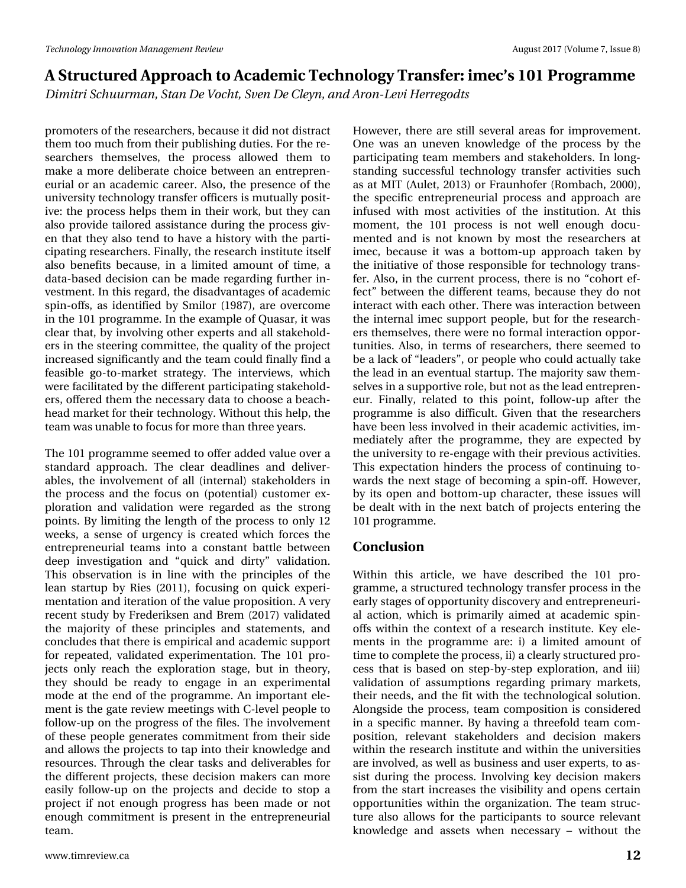*Dimitri Schuurman, Stan De Vocht, Sven De Cleyn, and Aron-Levi Herregodts*

promoters of the researchers, because it did not distract them too much from their publishing duties. For the researchers themselves, the process allowed them to make a more deliberate choice between an entrepreneurial or an academic career. Also, the presence of the university technology transfer officers is mutually positive: the process helps them in their work, but they can also provide tailored assistance during the process given that they also tend to have a history with the participating researchers. Finally, the research institute itself also benefits because, in a limited amount of time, a data-based decision can be made regarding further investment. In this regard, the disadvantages of academic spin-offs, as identified by Smilor (1987), are overcome in the 101 programme. In the example of Quasar, it was clear that, by involving other experts and all stakeholders in the steering committee, the quality of the project increased significantly and the team could finally find a feasible go-to-market strategy. The interviews, which were facilitated by the different participating stakeholders, offered them the necessary data to choose a beachhead market for their technology. Without this help, the team was unable to focus for more than three years.

The 101 programme seemed to offer added value over a standard approach. The clear deadlines and deliverables, the involvement of all (internal) stakeholders in the process and the focus on (potential) customer exploration and validation were regarded as the strong points. By limiting the length of the process to only 12 weeks, a sense of urgency is created which forces the entrepreneurial teams into a constant battle between deep investigation and "quick and dirty" validation. This observation is in line with the principles of the lean startup by Ries (2011), focusing on quick experimentation and iteration of the value proposition. A very recent study by Frederiksen and Brem (2017) validated the majority of these principles and statements, and concludes that there is empirical and academic support for repeated, validated experimentation. The 101 projects only reach the exploration stage, but in theory, they should be ready to engage in an experimental mode at the end of the programme. An important element is the gate review meetings with C-level people to follow-up on the progress of the files. The involvement of these people generates commitment from their side and allows the projects to tap into their knowledge and resources. Through the clear tasks and deliverables for the different projects, these decision makers can more easily follow-up on the projects and decide to stop a project if not enough progress has been made or not enough commitment is present in the entrepreneurial team.

However, there are still several areas for improvement. One was an uneven knowledge of the process by the participating team members and stakeholders. In longstanding successful technology transfer activities such as at MIT (Aulet, 2013) or Fraunhofer (Rombach, 2000), the specific entrepreneurial process and approach are infused with most activities of the institution. At this moment, the 101 process is not well enough documented and is not known by most the researchers at imec, because it was a bottom-up approach taken by the initiative of those responsible for technology transfer. Also, in the current process, there is no "cohort effect" between the different teams, because they do not interact with each other. There was interaction between the internal imec support people, but for the researchers themselves, there were no formal interaction opportunities. Also, in terms of researchers, there seemed to be a lack of "leaders", or people who could actually take the lead in an eventual startup. The majority saw themselves in a supportive role, but not as the lead entrepreneur. Finally, related to this point, follow-up after the programme is also difficult. Given that the researchers have been less involved in their academic activities, immediately after the programme, they are expected by the university to re-engage with their previous activities. This expectation hinders the process of continuing towards the next stage of becoming a spin-off. However, by its open and bottom-up character, these issues will be dealt with in the next batch of projects entering the 101 programme.

#### **Conclusion**

Within this article, we have described the 101 programme, a structured technology transfer process in the early stages of opportunity discovery and entrepreneurial action, which is primarily aimed at academic spinoffs within the context of a research institute. Key elements in the programme are: i) a limited amount of time to complete the process, ii) a clearly structured process that is based on step-by-step exploration, and iii) validation of assumptions regarding primary markets, their needs, and the fit with the technological solution. Alongside the process, team composition is considered in a specific manner. By having a threefold team composition, relevant stakeholders and decision makers within the research institute and within the universities are involved, as well as business and user experts, to assist during the process. Involving key decision makers from the start increases the visibility and opens certain opportunities within the organization. The team structure also allows for the participants to source relevant knowledge and assets when necessary – without the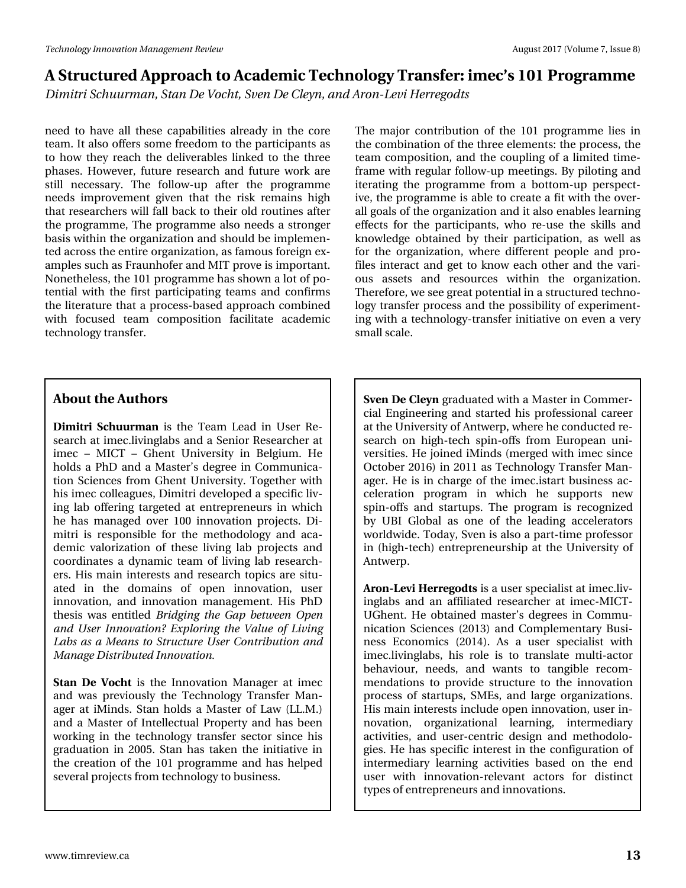*Dimitri Schuurman, Stan De Vocht, Sven De Cleyn, and Aron-Levi Herregodts*

need to have all these capabilities already in the core team. It also offers some freedom to the participants as to how they reach the deliverables linked to the three phases. However, future research and future work are still necessary. The follow-up after the programme needs improvement given that the risk remains high that researchers will fall back to their old routines after the programme, The programme also needs a stronger basis within the organization and should be implemented across the entire organization, as famous foreign examples such as Fraunhofer and MIT prove is important. Nonetheless, the 101 programme has shown a lot of potential with the first participating teams and confirms the literature that a process-based approach combined with focused team composition facilitate academic technology transfer.

The major contribution of the 101 programme lies in the combination of the three elements: the process, the team composition, and the coupling of a limited timeframe with regular follow-up meetings. By piloting and iterating the programme from a bottom-up perspective, the programme is able to create a fit with the overall goals of the organization and it also enables learning effects for the participants, who re-use the skills and knowledge obtained by their participation, as well as for the organization, where different people and profiles interact and get to know each other and the various assets and resources within the organization. Therefore, we see great potential in a structured technology transfer process and the possibility of experimenting with a technology-transfer initiative on even a very small scale.

#### **About the Authors**

**Dimitri Schuurman** is the Team Lead in User Research at imec.livinglabs and a Senior Researcher at imec – MICT – Ghent University in Belgium. He holds a PhD and a Master's degree in Communication Sciences from Ghent University. Together with his imec colleagues, Dimitri developed a specific living lab offering targeted at entrepreneurs in which he has managed over 100 innovation projects. Dimitri is responsible for the methodology and academic valorization of these living lab projects and coordinates a dynamic team of living lab researchers. His main interests and research topics are situated in the domains of open innovation, user innovation, and innovation management. His PhD thesis was entitled *Bridging the Gap between Open and User Innovation? Exploring the Value of Living Labs as a Means to Structure User Contribution and Manage Distributed Innovation.*

**Stan De Vocht** is the Innovation Manager at imec and was previously the Technology Transfer Manager at iMinds. Stan holds a Master of Law (LL.M.) and a Master of Intellectual Property and has been working in the technology transfer sector since his graduation in 2005. Stan has taken the initiative in the creation of the 101 programme and has helped several projects from technology to business.

**Sven De Cleyn** graduated with a Master in Commercial Engineering and started his professional career at the University of Antwerp, where he conducted research on high-tech spin-offs from European universities. He joined iMinds (merged with imec since October 2016) in 2011 as Technology Transfer Manager. He is in charge of the imec.istart business acceleration program in which he supports new spin-offs and startups. The program is recognized by UBI Global as one of the leading accelerators worldwide. Today, Sven is also a part-time professor in (high-tech) entrepreneurship at the University of Antwerp.

**Aron-Levi Herregodts** is a user specialist at imec.livinglabs and an affiliated researcher at imec-MICT-UGhent. He obtained master's degrees in Communication Sciences (2013) and Complementary Business Economics (2014). As a user specialist with imec.livinglabs, his role is to translate multi-actor behaviour, needs, and wants to tangible recommendations to provide structure to the innovation process of startups, SMEs, and large organizations. His main interests include open innovation, user innovation, organizational learning, intermediary activities, and user-centric design and methodologies. He has specific interest in the configuration of intermediary learning activities based on the end user with innovation-relevant actors for distinct types of entrepreneurs and innovations.